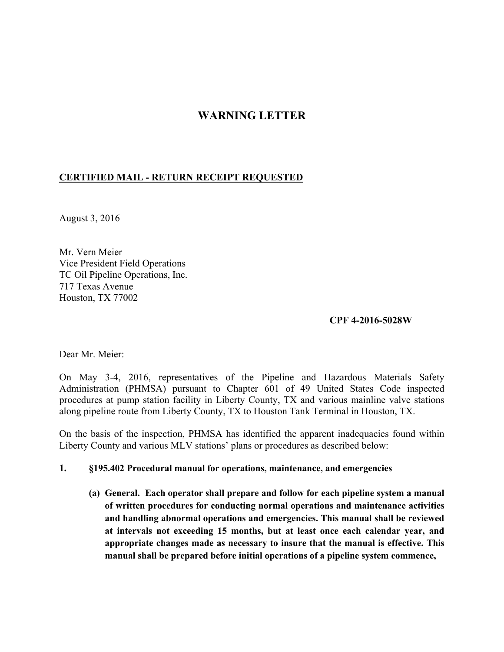# **WARNING LETTER**

#### **CERTIFIED MAIL - RETURN RECEIPT REQUESTED**

August 3, 2016

Mr. Vern Meier Vice President Field Operations TC Oil Pipeline Operations, Inc. 717 Texas Avenue Houston, TX 77002

#### **CPF 4-2016-5028W**

Dear Mr. Meier:

On May 3-4, 2016, representatives of the Pipeline and Hazardous Materials Safety Administration (PHMSA) pursuant to Chapter 601 of 49 United States Code inspected procedures at pump station facility in Liberty County, TX and various mainline valve stations along pipeline route from Liberty County, TX to Houston Tank Terminal in Houston, TX.

On the basis of the inspection, PHMSA has identified the apparent inadequacies found within Liberty County and various MLV stations' plans or procedures as described below:

#### **1. §195.402 Procedural manual for operations, maintenance, and emergencies**

**(a) General. Each operator shall prepare and follow for each pipeline system a manual of written procedures for conducting normal operations and maintenance activities and handling abnormal operations and emergencies. This manual shall be reviewed at intervals not exceeding 15 months, but at least once each calendar year, and appropriate changes made as necessary to insure that the manual is effective. This manual shall be prepared before initial operations of a pipeline system commence,**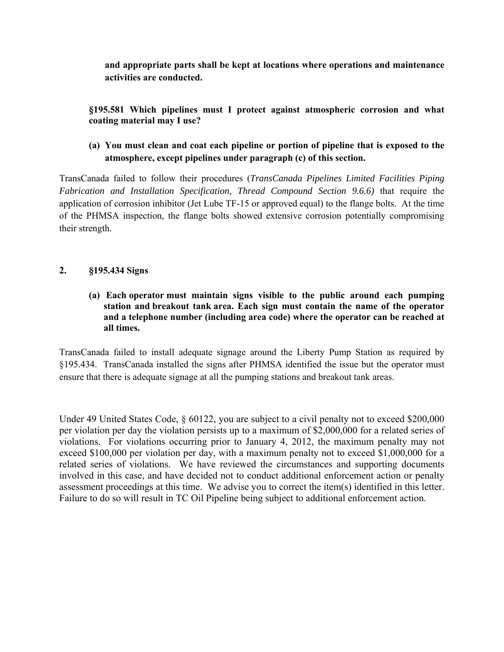**and appropriate parts shall be kept at locations where operations and maintenance activities are conducted.** 

**§195.581 Which pipelines must I protect against atmospheric corrosion and what coating material may I use?** 

## **(a) You must clean and coat each pipeline or portion of pipeline that is exposed to the atmosphere, except pipelines under paragraph (c) of this section.**

TransCanada failed to follow their procedures (*TransCanada Pipelines Limited Facilities Piping Fabrication and Installation Specification, Thread Compound Section 9.6.6)* that require the application of corrosion inhibitor (Jet Lube TF-15 or approved equal) to the flange bolts. At the time of the PHMSA inspection, the flange bolts showed extensive corrosion potentially compromising their strength.

### **2. §195.434 Signs**

**(a) Each operator must maintain signs visible to the public around each pumping station and breakout tank area. Each sign must contain the name of the operator and a telephone number (including area code) where the operator can be reached at all times.** 

TransCanada failed to install adequate signage around the Liberty Pump Station as required by §195.434. TransCanada installed the signs after PHMSA identified the issue but the operator must ensure that there is adequate signage at all the pumping stations and breakout tank areas.

Under 49 United States Code,  $\S 60122$ , you are subject to a civil penalty not to exceed \$200,000 per violation per day the violation persists up to a maximum of \$2,000,000 for a related series of violations. For violations occurring prior to January 4, 2012, the maximum penalty may not exceed \$100,000 per violation per day, with a maximum penalty not to exceed \$1,000,000 for a related series of violations. We have reviewed the circumstances and supporting documents involved in this case, and have decided not to conduct additional enforcement action or penalty assessment proceedings at this time. We advise you to correct the item(s) identified in this letter. Failure to do so will result in TC Oil Pipeline being subject to additional enforcement action.